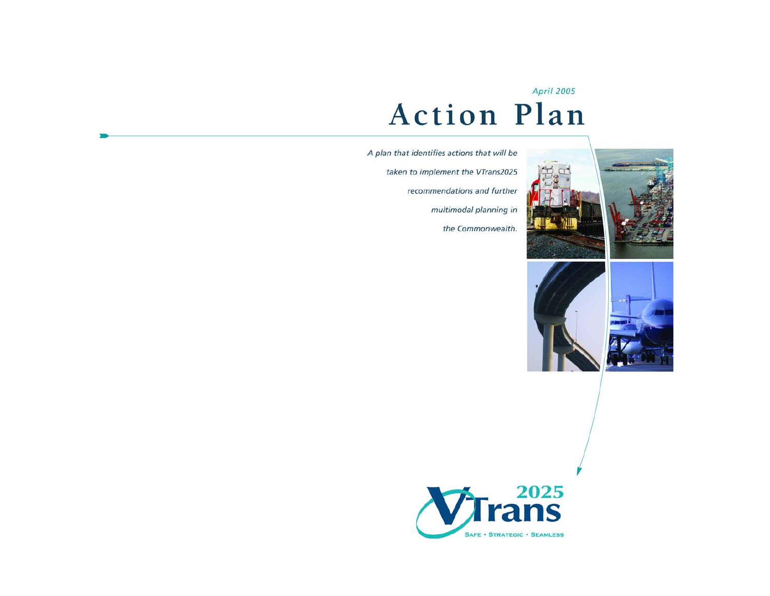#### **April 2005**

# **Action Plan**

A plan that identifies actions that will be taken to implement the VTrans2025 recommendations and further multimodal planning in the Commonwealth.









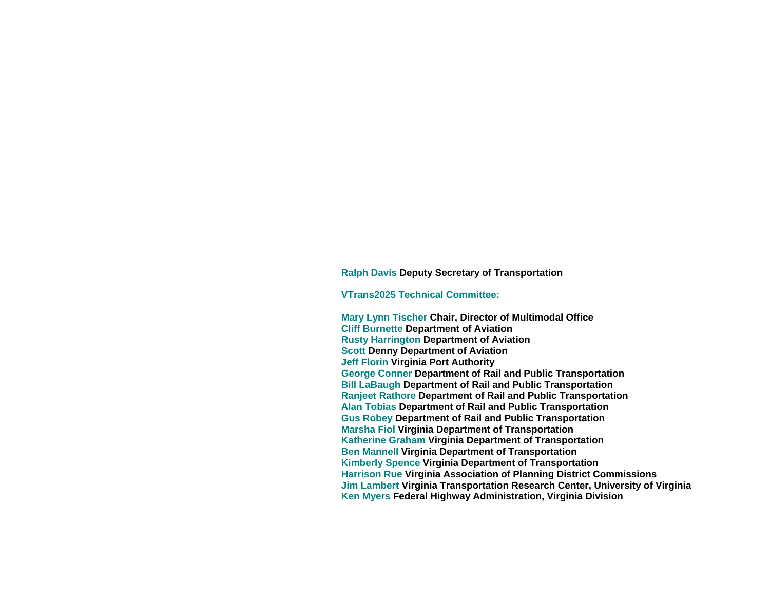#### **Ralph Davis Deputy Secretary of Transportation**

#### **VTrans2025 Technical Committee:**

**Mary Lynn Tischer Chair, Director of Multimodal Office Cliff Burnette Department of Aviation Rusty Harrington Department of Aviation Scott Denny Department of Aviation Jeff Florin Virginia Port Authority George Conner Department of Rail and Public Transportation Bill LaBaugh Department of Rail and Public Transportation Ranjeet Rathore Department of Rail and Public Transportation Alan Tobias Department of Rail and Public Transportation Gus Robey Department of Rail and Public Transportation Marsha Fiol Virginia Department of Transportation Katherine Graham Virginia Department of Transportation Ben Mannell Virginia Department of Transportation Kimberly Spence Virginia Department of Transportation Harrison Rue Virginia Association of Planning District Commissions Jim Lambert Virginia Transportation Research Center, University of Virginia Ken Myers Federal Highway Administration, Virginia Division**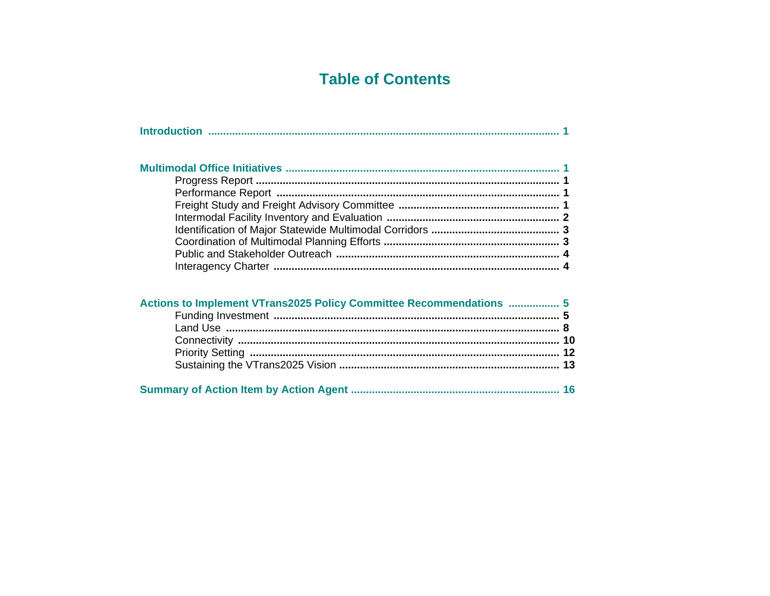# **Table of Contents**

| Actions to Implement VTrans2025 Policy Committee Recommendations  5 |  |
|---------------------------------------------------------------------|--|
|                                                                     |  |
|                                                                     |  |
|                                                                     |  |
|                                                                     |  |
|                                                                     |  |
|                                                                     |  |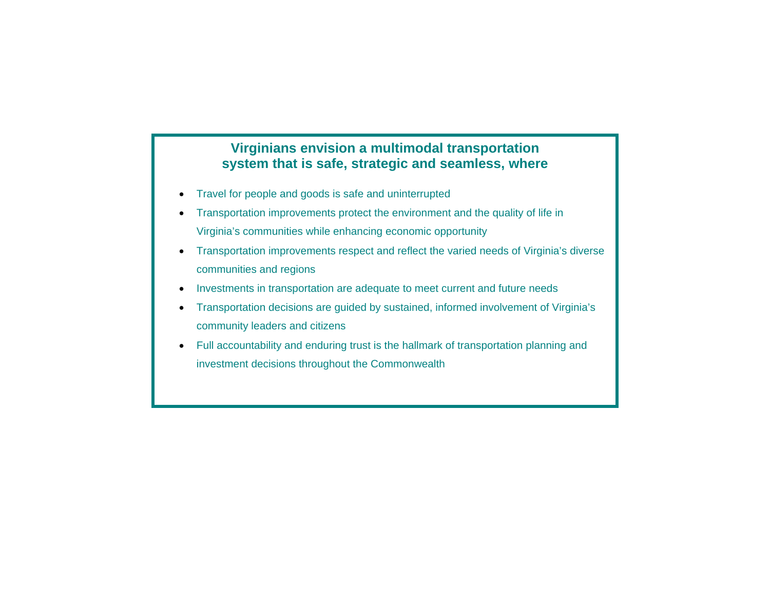### **Virginians envision a multimodal transportation system that is safe, strategic and seamless, where**

- Travel for people and goods is safe and uninterrupted
- Transportation improvements protect the environment and the quality of life in Virginia's communities while enhancing economic opportunity
- Transportation improvements respect and reflect the varied needs of Virginia's diverse communities and regions
- Investments in transportation are adequate to meet current and future needs
- Transportation decisions are guided by sustained, informed involvement of Virginia's community leaders and citizens
- Full accountability and enduring trust is the hallmark of transportation planning and investment decisions throughout the Commonwealth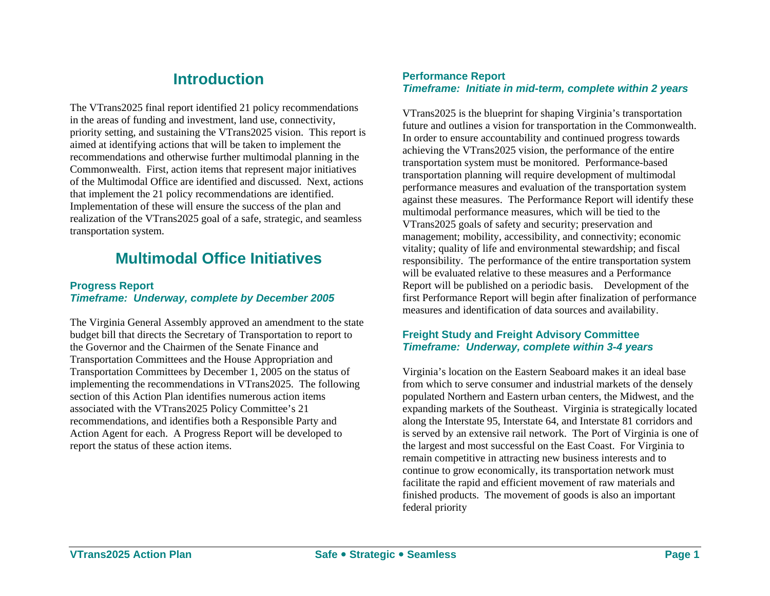### **Introduction**

The VTrans2025 final report identified 21 policy recommendations in the areas of funding and investment, land use, connectivity, priority setting, and sustaining the VTrans2025 vision. This report is aimed at identifying actions that will be taken to implement the recommendations and otherwise further multimodal planning in the Commonwealth. First, action items that represent major initiatives of the Multimodal Office are identified and discussed. Next, actions that implement the 21 policy recommendations are identified. Implementation of these will ensure the success of the plan and realization of the VTrans2025 goal of a safe, strategic, and seamless transportation system.

### **Multimodal Office Initiatives**

### **Progress Report** *Timeframe: Underway, complete by December 2005*

The Virginia General Assembly approved an amendment to the state budget bill that directs the Secretary of Transportation to report to the Governor and the Chairmen of the Senate Finance and Transportation Committees and the House Appropriation and Transportation Committees by December 1, 2005 on the status of implementing the recommendations in VTrans2025. The following section of this Action Plan identifies numerous action items associated with the VTrans2025 Policy Committee's 21 recommendations, and identifies both a Responsible Party and Action Agent for each. A Progress Report will be developed to report the status of these action items.

### **Performance Report**  *Timeframe: Initiate in mid-term, complete within 2 years*

VTrans2025 is the blueprint for shaping Virginia's transportation future and outlines a vision for transportation in the Commonwealth. In order to ensure accountability and continued progress towards achieving the VTrans2025 vision, the performance of the entire transportation system must be monitored. Performance-based transportation planning will require development of multimodal performance measures and evaluation of the transportation system against these measures. The Performance Report will identify these multimodal performance measures, which will be tied to the VTrans2025 goals of safety and security; preservation and management; mobility, accessibility, and connectivity; economic vitality; quality of life and environmental stewardship; and fiscal responsibility. The performance of the entire transportation system will be evaluated relative to these measures and a Performance Report will be published on a periodic basis. Development of the first Performance Report will begin after finalization of performance measures and identification of data sources and availability.

### **Freight Study and Freight Advisory Committee**  *Timeframe: Underway, complete within 3-4 years*

Virginia's location on the Eastern Seaboard makes it an ideal base from which to serve consumer and industrial markets of the densely populated Northern and Eastern urban centers, the Midwest, and the expanding markets of the Southeast. Virginia is strategically located along the Interstate 95, Interstate 64, and Interstate 81 corridors and is served by an extensive rail network. The Port of Virginia is one of the largest and most successful on the East Coast. For Virginia to remain competitive in attracting new business interests and to continue to grow economically, its transportation network must facilitate the rapid and efficient movement of raw materials and finished products. The movement of goods is also an important federal priority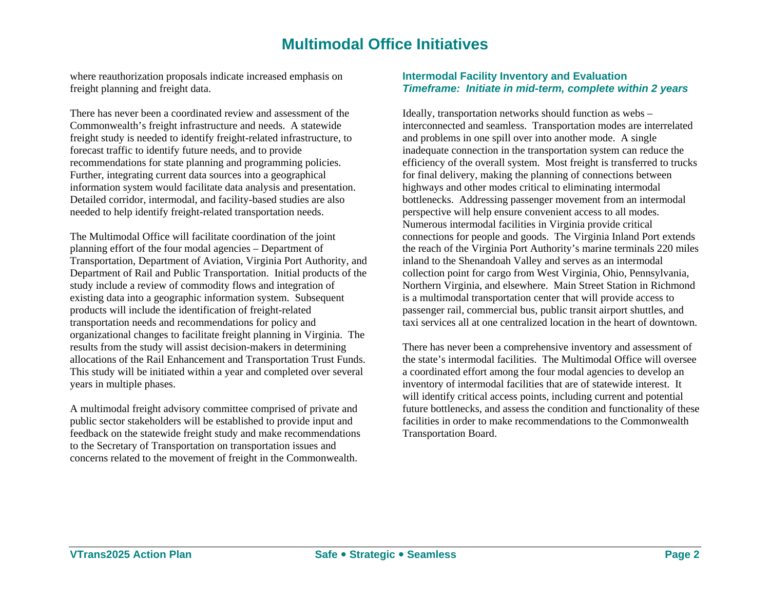### **Multimodal Office Initiatives**

where reauthorization proposals indicate increased emphasis on freight planning and freight data.

There has never been a coordinated review and assessment of the Commonwealth's freight infrastructure and needs. A statewide freight study is needed to identify freight-related infrastructure, to forecast traffic to identify future needs, and to provide recommendations for state planning and programming policies. Further, integrating current data sources into a geographical information system would facilitate data analysis and presentation. Detailed corridor, intermodal, and facility-based studies are also needed to help identify freight-related transportation needs.

The Multimodal Office will facilitate coordination of the joint planning effort of the four modal agencies – Department of Transportation, Department of Aviation, Virginia Port Authority, and Department of Rail and Public Transportation. Initial products of the study include a review of commodity flows and integration of existing data into a geographic information system. Subsequent products will include the identification of freight-related transportation needs and recommendations for policy and organizational changes to facilitate freight planning in Virginia. The results from the study will assist decision-makers in determining allocations of the Rail Enhancement and Transportation Trust Funds. This study will be initiated within a year and completed over several years in multiple phases.

A multimodal freight advisory committee comprised of private and public sector stakeholders will be established to provide input and feedback on the statewide freight study and make recommendations to the Secretary of Transportation on transportation issues and concerns related to the movement of freight in the Commonwealth.

#### **Intermodal Facility Inventory and Evaluation**  *Timeframe: Initiate in mid-term, complete within 2 years*

Ideally, transportation networks should function as webs – interconnected and seamless. Transportation modes are interrelated and problems in one spill over into another mode. A single inadequate connection in the transportation system can reduce the efficiency of the overall system. Most freight is transferred to trucks for final delivery, making the planning of connections between highways and other modes critical to eliminating intermodal bottlenecks. Addressing passenger movement from an intermodal perspective will help ensure convenient access to all modes. Numerous intermodal facilities in Virginia provide critical connections for people and goods. The Virginia Inland Port extends the reach of the Virginia Port Authority's marine terminals 220 miles inland to the Shenandoah Valley and serves as an intermodal collection point for cargo from West Virginia, Ohio, Pennsylvania, Northern Virginia, and elsewhere. Main Street Station in Richmond is a multimodal transportation center that will provide access to passenger rail, commercial bus, public transit airport shuttles, and taxi services all at one centralized location in the heart of downtown.

There has never been a comprehensive inventory and assessment of the state's intermodal facilities. The Multimodal Office will oversee a coordinated effort among the four modal agencies to develop an inventory of intermodal facilities that are of statewide interest. It will identify critical access points, including current and potential future bottlenecks, and assess the condition and functionality of these facilities in order to make recommendations to the Commonwealth Transportation Board.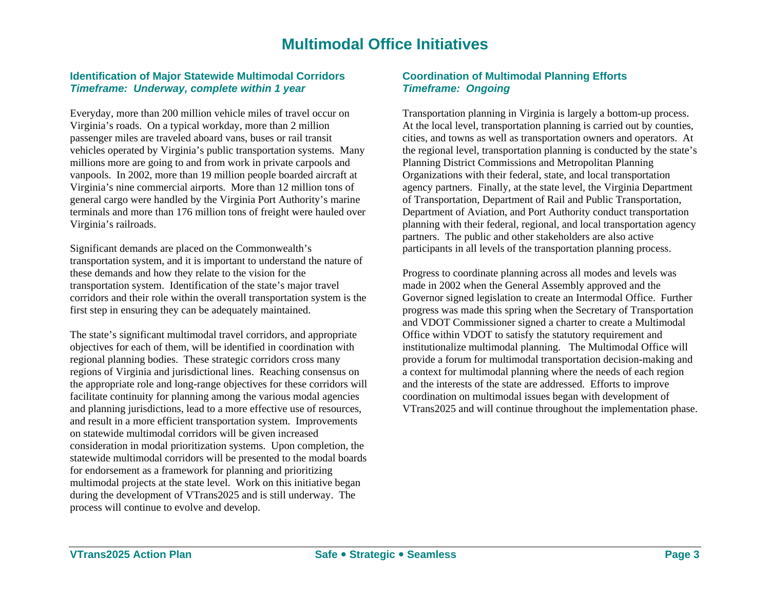### **Multimodal Office Initiatives**

### **Identification of Major Statewide Multimodal Corridors**  *Timeframe: Underway, complete within 1 year*

Everyday, more than 200 million vehicle miles of travel occur on Virginia's roads. On a typical workday, more than 2 million passenger miles are traveled aboard vans, buses or rail transit vehicles operated by Virginia's public transportation systems. Many millions more are going to and from work in private carpools and vanpools. In 2002, more than 19 million people boarded aircraft at Virginia's nine commercial airports. More than 12 million tons of general cargo were handled by the Virginia Port Authority's marine terminals and more than 176 million tons of freight were hauled over Virginia's railroads.

Significant demands are placed on the Commonwealth's transportation system, and it is important to understand the nature of these demands and how they relate to the vision for the transportation system. Identification of the state's major travel corridors and their role within the overall transportation system is the first step in ensuring they can be adequately maintained.

The state's significant multimodal travel corridors, and appropriate objectives for each of them, will be identified in coordination with regional planning bodies. These strategic corridors cross many regions of Virginia and jurisdictional lines. Reaching consensus on the appropriate role and long-range objectives for these corridors will facilitate continuity for planning among the various modal agencies and planning jurisdictions, lead to a more effective use of resources, and result in a more efficient transportation system. Improvements on statewide multimodal corridors will be given increased consideration in modal prioritization systems. Upon completion, the statewide multimodal corridors will be presented to the modal boards for endorsement as a framework for planning and prioritizing multimodal projects at the state level. Work on this initiative began during the development of VTrans2025 and is still underway. The process will continue to evolve and develop.

### **Coordination of Multimodal Planning Efforts**  *Timeframe: Ongoing*

Transportation planning in Virginia is largely a bottom-up process. At the local level, transportation planning is carried out by counties, cities, and towns as well as transportation owners and operators. At the regional level, transportation planning is conducted by the state's Planning District Commissions and Metropolitan Planning Organizations with their federal, state, and local transportation agency partners. Finally, at the state level, the Virginia Department of Transportation, Department of Rail and Public Transportation, Department of Aviation, and Port Authority conduct transportation planning with their federal, regional, and local transportation agency partners. The public and other stakeholders are also active participants in all levels of the transportation planning process.

Progress to coordinate planning across all modes and levels was made in 2002 when the General Assembly approved and the Governor signed legislation to create an Intermodal Office. Further progress was made this spring when the Secretary of Transportation and VDOT Commissioner signed a charter to create a Multimodal Office within VDOT to satisfy the statutory requirement and institutionalize multimodal planning. The Multimodal Office will provide a forum for multimodal transportation decision-making and a context for multimodal planning where the needs of each region and the interests of the state are addressed. Efforts to improve coordination on multimodal issues began with development of VTrans2025 and will continue throughout the implementation phase.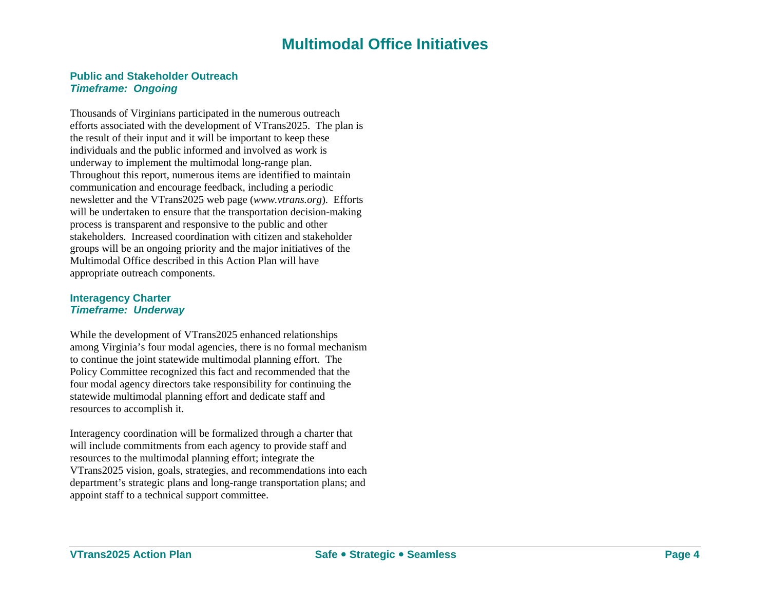### **Multimodal Office Initiatives**

#### **Public and Stakeholder Outreach** *Timeframe: Ongoing*

Thousands of Virginians participated in the numerous outreach efforts associated with the development of VTrans2025. The plan is the result of their input and it will be important to keep these individuals and the public informed and involved as work is underway to implement the multimodal long-range plan. Throughout this report, numerous items are identified to maintain communication and encourage feedback, including a periodic newsletter and the VTrans2025 web page (*www.vtrans.org*). Efforts will be undertaken to ensure that the transportation decision-making process is transparent and responsive to the public and other stakeholders. Increased coordination with citizen and stakeholder groups will be an ongoing priority and the major initiatives of the Multimodal Office described in this Action Plan will have appropriate outreach components.

#### **Interagency Charter**  *Timeframe: Underway*

While the development of VTrans2025 enhanced relationships among Virginia's four modal agencies, there is no formal mechanism to continue the joint statewide multimodal planning effort. The Policy Committee recognized this fact and recommended that the four modal agency directors take responsibility for continuing the statewide multimodal planning effort and dedicate staff and resources to accomplish it.

Interagency coordination will be formalized through a charter that will include commitments from each agency to provide staff and resources to the multimodal planning effort; integrate the VTrans2025 vision, goals, strategies, and recommendations into each department's strategic plans and long-range transportation plans; and appoint staff to a technical support committee.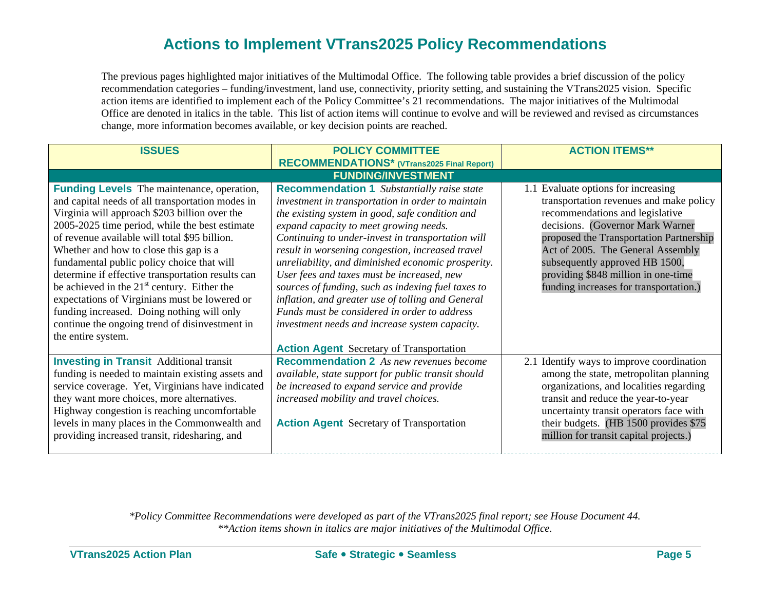The previous pages highlighted major initiatives of the Multimodal Office. The following table provides a brief discussion of the policy recommendation categories – funding/investment, land use, connectivity, priority setting, and sustaining the VTrans2025 vision. Specific action items are identified to implement each of the Policy Committee's 21 recommendations. The major initiatives of the Multimodal Office are denoted in italics in the table. This list of action items will continue to evolve and will be reviewed and revised as circumstances change, more information becomes available, or key decision points are reached.

| <b>ISSUES</b>                                                                                                                                                                                                                                                                                                                                                                                                                                                                                                                                                                                                                  | <b>POLICY COMMITTEE</b>                                                                                                                                                                                                                                                                                                                                                                                                                                                                                                                                                                                                       | <b>ACTION ITEMS**</b>                                                                                                                                                                                                                                                                                                                                    |
|--------------------------------------------------------------------------------------------------------------------------------------------------------------------------------------------------------------------------------------------------------------------------------------------------------------------------------------------------------------------------------------------------------------------------------------------------------------------------------------------------------------------------------------------------------------------------------------------------------------------------------|-------------------------------------------------------------------------------------------------------------------------------------------------------------------------------------------------------------------------------------------------------------------------------------------------------------------------------------------------------------------------------------------------------------------------------------------------------------------------------------------------------------------------------------------------------------------------------------------------------------------------------|----------------------------------------------------------------------------------------------------------------------------------------------------------------------------------------------------------------------------------------------------------------------------------------------------------------------------------------------------------|
|                                                                                                                                                                                                                                                                                                                                                                                                                                                                                                                                                                                                                                | <b>RECOMMENDATIONS*</b> (VTrans2025 Final Report)                                                                                                                                                                                                                                                                                                                                                                                                                                                                                                                                                                             |                                                                                                                                                                                                                                                                                                                                                          |
|                                                                                                                                                                                                                                                                                                                                                                                                                                                                                                                                                                                                                                | <b>FUNDING/INVESTMENT</b>                                                                                                                                                                                                                                                                                                                                                                                                                                                                                                                                                                                                     |                                                                                                                                                                                                                                                                                                                                                          |
| <b>Funding Levels</b> The maintenance, operation,<br>and capital needs of all transportation modes in<br>Virginia will approach \$203 billion over the<br>2005-2025 time period, while the best estimate<br>of revenue available will total \$95 billion.<br>Whether and how to close this gap is a<br>fundamental public policy choice that will<br>determine if effective transportation results can<br>be achieved in the $21st$ century. Either the<br>expectations of Virginians must be lowered or<br>funding increased. Doing nothing will only<br>continue the ongoing trend of disinvestment in<br>the entire system. | <b>Recommendation 1</b> Substantially raise state<br>investment in transportation in order to maintain<br>the existing system in good, safe condition and<br>expand capacity to meet growing needs.<br>Continuing to under-invest in transportation will<br>result in worsening congestion, increased travel<br>unreliability, and diminished economic prosperity.<br>User fees and taxes must be increased, new<br>sources of funding, such as indexing fuel taxes to<br>inflation, and greater use of tolling and General<br>Funds must be considered in order to address<br>investment needs and increase system capacity. | 1.1 Evaluate options for increasing<br>transportation revenues and make policy<br>recommendations and legislative<br>decisions. (Governor Mark Warner<br>proposed the Transportation Partnership<br>Act of 2005. The General Assembly<br>subsequently approved HB 1500,<br>providing \$848 million in one-time<br>funding increases for transportation.) |
| <b>Investing in Transit Additional transit</b><br>funding is needed to maintain existing assets and<br>service coverage. Yet, Virginians have indicated<br>they want more choices, more alternatives.<br>Highway congestion is reaching uncomfortable<br>levels in many places in the Commonwealth and<br>providing increased transit, ridesharing, and                                                                                                                                                                                                                                                                        | <b>Action Agent</b> Secretary of Transportation<br><b>Recommendation 2</b> As new revenues become<br>available, state support for public transit should<br>be increased to expand service and provide<br>increased mobility and travel choices.<br><b>Action Agent</b> Secretary of Transportation                                                                                                                                                                                                                                                                                                                            | 2.1 Identify ways to improve coordination<br>among the state, metropolitan planning<br>organizations, and localities regarding<br>transit and reduce the year-to-year<br>uncertainty transit operators face with<br>their budgets. (HB 1500 provides \$75)<br>million for transit capital projects.)                                                     |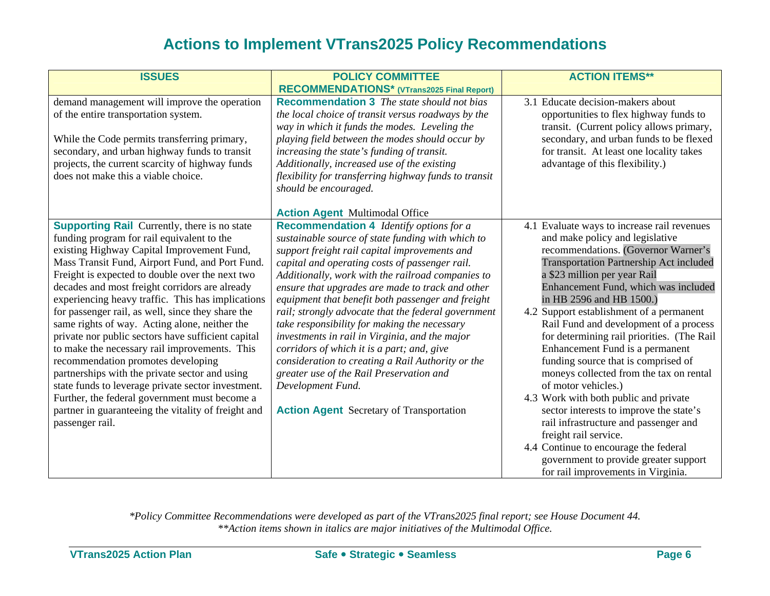| <b>ISSUES</b>                                                                                                                                                                                                                                                                                                                                                                                                                                                                                                                                                                                                                                                                                                                                                                                                                                      | <b>POLICY COMMITTEE</b>                                                                                                                                                                                                                                                                                                                                                                                                                                                                                                                                                                                                                                                                                                                              | <b>ACTION ITEMS**</b>                                                                                                                                                                                                                                                                                                                                                                                                                                                                                                                                                                                                                                                                                                                                                                                                                     |
|----------------------------------------------------------------------------------------------------------------------------------------------------------------------------------------------------------------------------------------------------------------------------------------------------------------------------------------------------------------------------------------------------------------------------------------------------------------------------------------------------------------------------------------------------------------------------------------------------------------------------------------------------------------------------------------------------------------------------------------------------------------------------------------------------------------------------------------------------|------------------------------------------------------------------------------------------------------------------------------------------------------------------------------------------------------------------------------------------------------------------------------------------------------------------------------------------------------------------------------------------------------------------------------------------------------------------------------------------------------------------------------------------------------------------------------------------------------------------------------------------------------------------------------------------------------------------------------------------------------|-------------------------------------------------------------------------------------------------------------------------------------------------------------------------------------------------------------------------------------------------------------------------------------------------------------------------------------------------------------------------------------------------------------------------------------------------------------------------------------------------------------------------------------------------------------------------------------------------------------------------------------------------------------------------------------------------------------------------------------------------------------------------------------------------------------------------------------------|
|                                                                                                                                                                                                                                                                                                                                                                                                                                                                                                                                                                                                                                                                                                                                                                                                                                                    | RECOMMENDATIONS* (VTrans2025 Final Report)                                                                                                                                                                                                                                                                                                                                                                                                                                                                                                                                                                                                                                                                                                           |                                                                                                                                                                                                                                                                                                                                                                                                                                                                                                                                                                                                                                                                                                                                                                                                                                           |
| demand management will improve the operation<br>of the entire transportation system.<br>While the Code permits transferring primary,<br>secondary, and urban highway funds to transit<br>projects, the current scarcity of highway funds<br>does not make this a viable choice.                                                                                                                                                                                                                                                                                                                                                                                                                                                                                                                                                                    | <b>Recommendation 3</b> The state should not bias<br>the local choice of transit versus roadways by the<br>way in which it funds the modes. Leveling the<br>playing field between the modes should occur by<br>increasing the state's funding of transit.<br>Additionally, increased use of the existing<br>flexibility for transferring highway funds to transit<br>should be encouraged.                                                                                                                                                                                                                                                                                                                                                           | 3.1 Educate decision-makers about<br>opportunities to flex highway funds to<br>transit. (Current policy allows primary,<br>secondary, and urban funds to be flexed<br>for transit. At least one locality takes<br>advantage of this flexibility.)                                                                                                                                                                                                                                                                                                                                                                                                                                                                                                                                                                                         |
|                                                                                                                                                                                                                                                                                                                                                                                                                                                                                                                                                                                                                                                                                                                                                                                                                                                    | <b>Action Agent Multimodal Office</b>                                                                                                                                                                                                                                                                                                                                                                                                                                                                                                                                                                                                                                                                                                                |                                                                                                                                                                                                                                                                                                                                                                                                                                                                                                                                                                                                                                                                                                                                                                                                                                           |
| <b>Supporting Rail</b> Currently, there is no state<br>funding program for rail equivalent to the<br>existing Highway Capital Improvement Fund,<br>Mass Transit Fund, Airport Fund, and Port Fund.<br>Freight is expected to double over the next two<br>decades and most freight corridors are already<br>experiencing heavy traffic. This has implications<br>for passenger rail, as well, since they share the<br>same rights of way. Acting alone, neither the<br>private nor public sectors have sufficient capital<br>to make the necessary rail improvements. This<br>recommendation promotes developing<br>partnerships with the private sector and using<br>state funds to leverage private sector investment.<br>Further, the federal government must become a<br>partner in guaranteeing the vitality of freight and<br>passenger rail. | <b>Recommendation 4</b> Identify options for a<br>sustainable source of state funding with which to<br>support freight rail capital improvements and<br>capital and operating costs of passenger rail.<br>Additionally, work with the railroad companies to<br>ensure that upgrades are made to track and other<br>equipment that benefit both passenger and freight<br>rail; strongly advocate that the federal government<br>take responsibility for making the necessary<br>investments in rail in Virginia, and the major<br>corridors of which it is a part; and, give<br>consideration to creating a Rail Authority or the<br>greater use of the Rail Preservation and<br>Development Fund.<br><b>Action Agent</b> Secretary of Transportation | 4.1 Evaluate ways to increase rail revenues<br>and make policy and legislative<br>recommendations. (Governor Warner's<br><b>Transportation Partnership Act included</b><br>a \$23 million per year Rail<br>Enhancement Fund, which was included<br>in HB 2596 and HB 1500.)<br>4.2 Support establishment of a permanent<br>Rail Fund and development of a process<br>for determining rail priorities. (The Rail<br>Enhancement Fund is a permanent<br>funding source that is comprised of<br>moneys collected from the tax on rental<br>of motor vehicles.)<br>4.3 Work with both public and private<br>sector interests to improve the state's<br>rail infrastructure and passenger and<br>freight rail service.<br>4.4 Continue to encourage the federal<br>government to provide greater support<br>for rail improvements in Virginia. |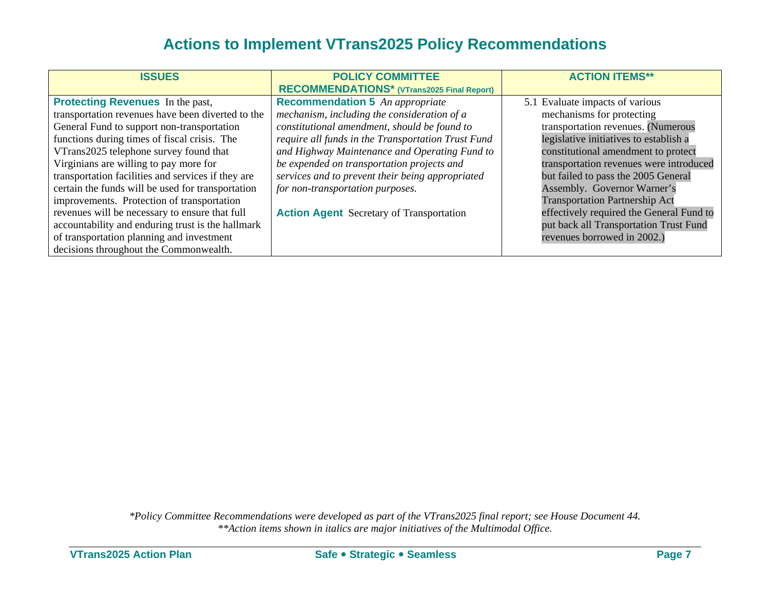| <b>ISSUES</b>                                      | <b>POLICY COMMITTEE</b>                            | <b>ACTION ITEMS**</b>                    |
|----------------------------------------------------|----------------------------------------------------|------------------------------------------|
|                                                    | RECOMMENDATIONS* (VTrans2025 Final Report)         |                                          |
| <b>Protecting Revenues</b> In the past,            | <b>Recommendation 5</b> An appropriate             | 5.1 Evaluate impacts of various          |
| transportation revenues have been diverted to the  | mechanism, including the consideration of a        | mechanisms for protecting                |
| General Fund to support non-transportation         | constitutional amendment, should be found to       | transportation revenues. (Numerous       |
| functions during times of fiscal crisis. The       | require all funds in the Transportation Trust Fund | legislative initiatives to establish a   |
| VTrans2025 telephone survey found that             | and Highway Maintenance and Operating Fund to      | constitutional amendment to protect      |
| Virginians are willing to pay more for             | be expended on transportation projects and         | transportation revenues were introduced  |
| transportation facilities and services if they are | services and to prevent their being appropriated   | but failed to pass the 2005 General      |
| certain the funds will be used for transportation  | for non-transportation purposes.                   | Assembly. Governor Warner's              |
| improvements. Protection of transportation         |                                                    | <b>Transportation Partnership Act</b>    |
| revenues will be necessary to ensure that full     | <b>Action Agent</b> Secretary of Transportation    | effectively required the General Fund to |
| accountability and enduring trust is the hallmark  |                                                    | put back all Transportation Trust Fund   |
| of transportation planning and investment          |                                                    | revenues borrowed in 2002.)              |
| decisions throughout the Commonwealth.             |                                                    |                                          |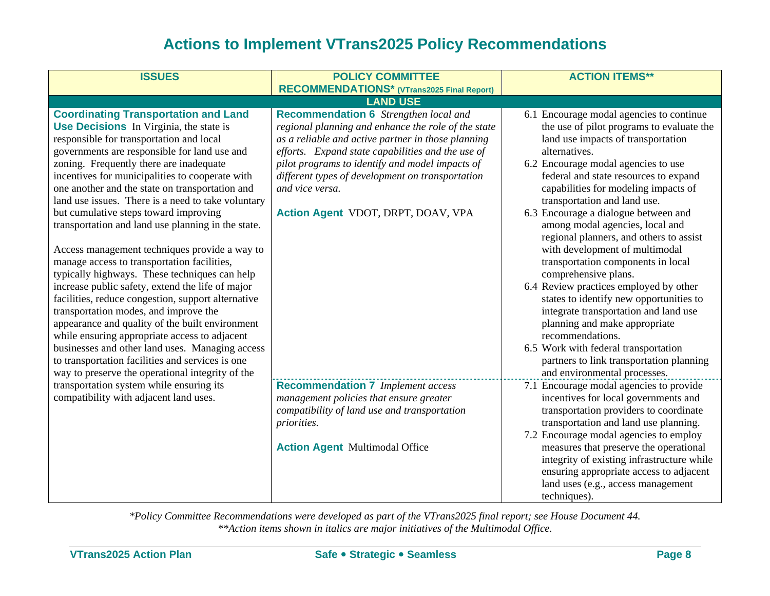| <b>ISSUES</b>                                                                                                                                                                                                                                                                                                                                                                                                                                                                                                                                                                                                                                                                                                                                                                                                                                                                                                                                                                                                                                                      | <b>POLICY COMMITTEE</b>                                                                                                                                                                                                                                                                                                                                                        | <b>ACTION ITEMS**</b>                                                                                                                                                                                                                                                                                                                                                                                                                                                                                                                                                                                                                                                                                                                                                                                                             |
|--------------------------------------------------------------------------------------------------------------------------------------------------------------------------------------------------------------------------------------------------------------------------------------------------------------------------------------------------------------------------------------------------------------------------------------------------------------------------------------------------------------------------------------------------------------------------------------------------------------------------------------------------------------------------------------------------------------------------------------------------------------------------------------------------------------------------------------------------------------------------------------------------------------------------------------------------------------------------------------------------------------------------------------------------------------------|--------------------------------------------------------------------------------------------------------------------------------------------------------------------------------------------------------------------------------------------------------------------------------------------------------------------------------------------------------------------------------|-----------------------------------------------------------------------------------------------------------------------------------------------------------------------------------------------------------------------------------------------------------------------------------------------------------------------------------------------------------------------------------------------------------------------------------------------------------------------------------------------------------------------------------------------------------------------------------------------------------------------------------------------------------------------------------------------------------------------------------------------------------------------------------------------------------------------------------|
|                                                                                                                                                                                                                                                                                                                                                                                                                                                                                                                                                                                                                                                                                                                                                                                                                                                                                                                                                                                                                                                                    | <b>RECOMMENDATIONS*</b> (VTrans2025 Final Report)                                                                                                                                                                                                                                                                                                                              |                                                                                                                                                                                                                                                                                                                                                                                                                                                                                                                                                                                                                                                                                                                                                                                                                                   |
|                                                                                                                                                                                                                                                                                                                                                                                                                                                                                                                                                                                                                                                                                                                                                                                                                                                                                                                                                                                                                                                                    | <b>LAND USE</b>                                                                                                                                                                                                                                                                                                                                                                |                                                                                                                                                                                                                                                                                                                                                                                                                                                                                                                                                                                                                                                                                                                                                                                                                                   |
| <b>Coordinating Transportation and Land</b><br><b>Use Decisions</b> In Virginia, the state is<br>responsible for transportation and local<br>governments are responsible for land use and<br>zoning. Frequently there are inadequate<br>incentives for municipalities to cooperate with<br>one another and the state on transportation and<br>land use issues. There is a need to take voluntary<br>but cumulative steps toward improving<br>transportation and land use planning in the state.<br>Access management techniques provide a way to<br>manage access to transportation facilities,<br>typically highways. These techniques can help<br>increase public safety, extend the life of major<br>facilities, reduce congestion, support alternative<br>transportation modes, and improve the<br>appearance and quality of the built environment<br>while ensuring appropriate access to adjacent<br>businesses and other land uses. Managing access<br>to transportation facilities and services is one<br>way to preserve the operational integrity of the | <b>Recommendation 6</b> Strengthen local and<br>regional planning and enhance the role of the state<br>as a reliable and active partner in those planning<br>efforts. Expand state capabilities and the use of<br>pilot programs to identify and model impacts of<br>different types of development on transportation<br>and vice versa.<br>Action Agent VDOT, DRPT, DOAV, VPA | 6.1 Encourage modal agencies to continue<br>the use of pilot programs to evaluate the<br>land use impacts of transportation<br>alternatives.<br>6.2 Encourage modal agencies to use<br>federal and state resources to expand<br>capabilities for modeling impacts of<br>transportation and land use.<br>6.3 Encourage a dialogue between and<br>among modal agencies, local and<br>regional planners, and others to assist<br>with development of multimodal<br>transportation components in local<br>comprehensive plans.<br>6.4 Review practices employed by other<br>states to identify new opportunities to<br>integrate transportation and land use<br>planning and make appropriate<br>recommendations.<br>6.5 Work with federal transportation<br>partners to link transportation planning<br>and environmental processes. |
| transportation system while ensuring its<br>compatibility with adjacent land uses.                                                                                                                                                                                                                                                                                                                                                                                                                                                                                                                                                                                                                                                                                                                                                                                                                                                                                                                                                                                 | <b>Recommendation 7</b> Implement access<br>management policies that ensure greater<br>compatibility of land use and transportation<br>priorities.                                                                                                                                                                                                                             | 7.1 Encourage modal agencies to provide<br>incentives for local governments and<br>transportation providers to coordinate<br>transportation and land use planning.                                                                                                                                                                                                                                                                                                                                                                                                                                                                                                                                                                                                                                                                |
|                                                                                                                                                                                                                                                                                                                                                                                                                                                                                                                                                                                                                                                                                                                                                                                                                                                                                                                                                                                                                                                                    | <b>Action Agent Multimodal Office</b>                                                                                                                                                                                                                                                                                                                                          | 7.2 Encourage modal agencies to employ<br>measures that preserve the operational<br>integrity of existing infrastructure while<br>ensuring appropriate access to adjacent<br>land uses (e.g., access management<br>techniques).                                                                                                                                                                                                                                                                                                                                                                                                                                                                                                                                                                                                   |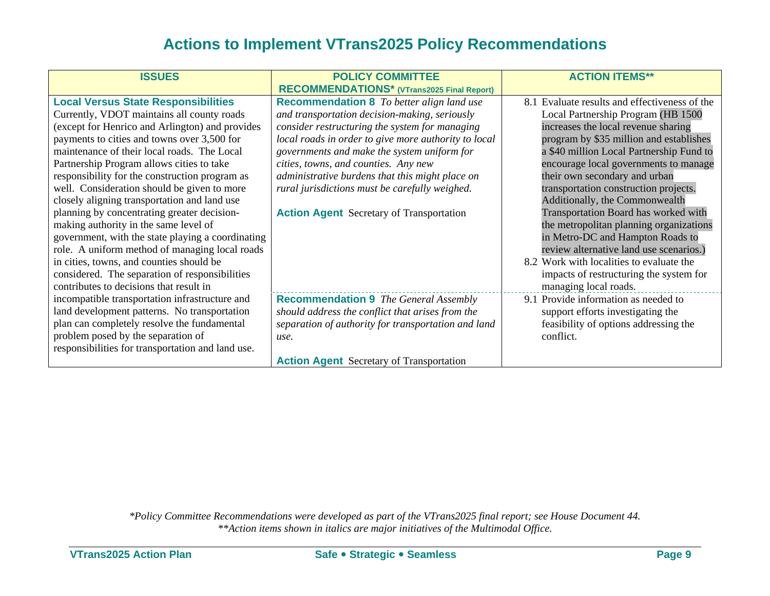| <b>ISSUES</b>                                     | <b>POLICY COMMITTEE</b>                              | <b>ACTION ITEMS**</b>                         |
|---------------------------------------------------|------------------------------------------------------|-----------------------------------------------|
|                                                   |                                                      |                                               |
|                                                   | <b>RECOMMENDATIONS*</b> (VTrans2025 Final Report)    |                                               |
| <b>Local Versus State Responsibilities</b>        | <b>Recommendation 8</b> To better align land use     | 8.1 Evaluate results and effectiveness of the |
| Currently, VDOT maintains all county roads        | and transportation decision-making, seriously        | Local Partnership Program (HB 1500            |
| (except for Henrico and Arlington) and provides   | consider restructuring the system for managing       | increases the local revenue sharing           |
| payments to cities and towns over 3,500 for       | local roads in order to give more authority to local | program by \$35 million and establishes       |
| maintenance of their local roads. The Local       | governments and make the system uniform for          | a \$40 million Local Partnership Fund to      |
| Partnership Program allows cities to take         | cities, towns, and counties. Any new                 | encourage local governments to manage         |
| responsibility for the construction program as    | administrative burdens that this might place on      | their own secondary and urban                 |
| well. Consideration should be given to more       | rural jurisdictions must be carefully weighed.       | transportation construction projects.         |
| closely aligning transportation and land use      |                                                      | Additionally, the Commonwealth                |
| planning by concentrating greater decision-       | <b>Action Agent</b> Secretary of Transportation      | Transportation Board has worked with          |
| making authority in the same level of             |                                                      | the metropolitan planning organizations       |
| government, with the state playing a coordinating |                                                      | in Metro-DC and Hampton Roads to              |
| role. A uniform method of managing local roads    |                                                      | review alternative land use scenarios.)       |
| in cities, towns, and counties should be          |                                                      | 8.2 Work with localities to evaluate the      |
| considered. The separation of responsibilities    |                                                      | impacts of restructuring the system for       |
| contributes to decisions that result in           |                                                      | managing local roads.                         |
| incompatible transportation infrastructure and    | <b>Recommendation 9</b> The General Assembly         | 9.1 Provide information as needed to          |
| land development patterns. No transportation      | should address the conflict that arises from the     | support efforts investigating the             |
| plan can completely resolve the fundamental       | separation of authority for transportation and land  | feasibility of options addressing the         |
| problem posed by the separation of                | use.                                                 | conflict.                                     |
| responsibilities for transportation and land use. |                                                      |                                               |
|                                                   | <b>Action Agent</b> Secretary of Transportation      |                                               |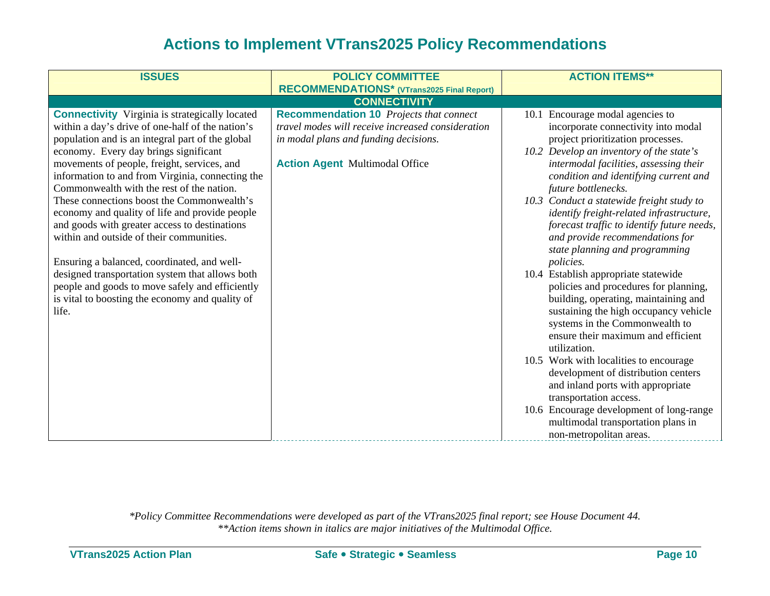| <b>ISSUES</b>                                                                                                                                                                                                                                                                                                                                                                                                                                                                                                                                                                                                                                                                                                                                                        | <b>POLICY COMMITTEE</b><br>RECOMMENDATIONS* (VTrans2025 Final Report)                                                                                                                 | <b>ACTION ITEMS**</b>                                                                                                                                                                                                                                                                                                                                                                                                                                                                                                                                                                                                                                                                                                                                                                                                                                                                                                                                                                                                     |
|----------------------------------------------------------------------------------------------------------------------------------------------------------------------------------------------------------------------------------------------------------------------------------------------------------------------------------------------------------------------------------------------------------------------------------------------------------------------------------------------------------------------------------------------------------------------------------------------------------------------------------------------------------------------------------------------------------------------------------------------------------------------|---------------------------------------------------------------------------------------------------------------------------------------------------------------------------------------|---------------------------------------------------------------------------------------------------------------------------------------------------------------------------------------------------------------------------------------------------------------------------------------------------------------------------------------------------------------------------------------------------------------------------------------------------------------------------------------------------------------------------------------------------------------------------------------------------------------------------------------------------------------------------------------------------------------------------------------------------------------------------------------------------------------------------------------------------------------------------------------------------------------------------------------------------------------------------------------------------------------------------|
|                                                                                                                                                                                                                                                                                                                                                                                                                                                                                                                                                                                                                                                                                                                                                                      | <b>CONNECTIVITY</b>                                                                                                                                                                   |                                                                                                                                                                                                                                                                                                                                                                                                                                                                                                                                                                                                                                                                                                                                                                                                                                                                                                                                                                                                                           |
| <b>Connectivity</b> Virginia is strategically located<br>within a day's drive of one-half of the nation's<br>population and is an integral part of the global<br>economy. Every day brings significant<br>movements of people, freight, services, and<br>information to and from Virginia, connecting the<br>Commonwealth with the rest of the nation.<br>These connections boost the Commonwealth's<br>economy and quality of life and provide people<br>and goods with greater access to destinations<br>within and outside of their communities.<br>Ensuring a balanced, coordinated, and well-<br>designed transportation system that allows both<br>people and goods to move safely and efficiently<br>is vital to boosting the economy and quality of<br>life. | <b>Recommendation 10</b> Projects that connect<br>travel modes will receive increased consideration<br>in modal plans and funding decisions.<br><b>Action Agent Multimodal Office</b> | 10.1 Encourage modal agencies to<br>incorporate connectivity into modal<br>project prioritization processes.<br>10.2 Develop an inventory of the state's<br>intermodal facilities, assessing their<br>condition and identifying current and<br>future bottlenecks.<br>10.3 Conduct a statewide freight study to<br>identify freight-related infrastructure,<br>forecast traffic to identify future needs,<br>and provide recommendations for<br>state planning and programming<br><i>policies.</i><br>10.4 Establish appropriate statewide<br>policies and procedures for planning,<br>building, operating, maintaining and<br>sustaining the high occupancy vehicle<br>systems in the Commonwealth to<br>ensure their maximum and efficient<br>utilization.<br>10.5 Work with localities to encourage<br>development of distribution centers<br>and inland ports with appropriate<br>transportation access.<br>10.6 Encourage development of long-range<br>multimodal transportation plans in<br>non-metropolitan areas. |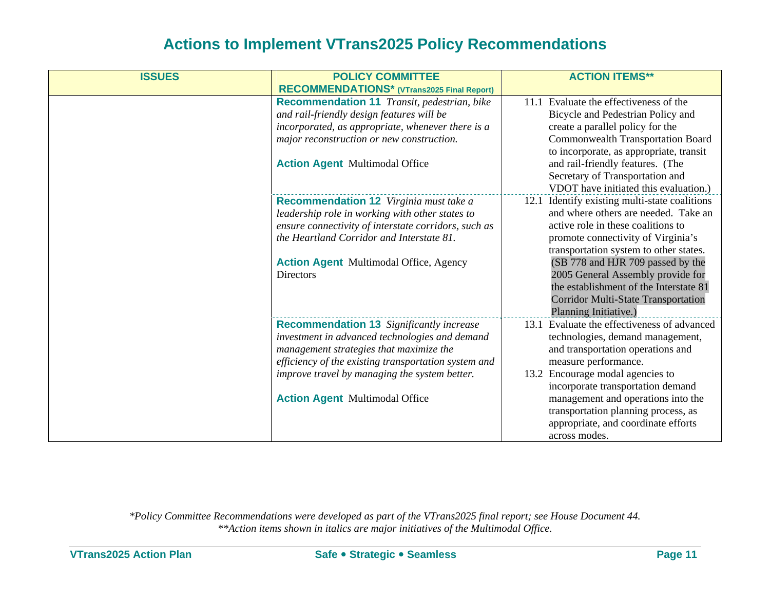| <b>ISSUES</b> | <b>POLICY COMMITTEE</b>                                                                                                                                                                                                                                                                        | <b>ACTION ITEMS**</b>                                                                                                                                                                                                                                                                                                                                                                                  |
|---------------|------------------------------------------------------------------------------------------------------------------------------------------------------------------------------------------------------------------------------------------------------------------------------------------------|--------------------------------------------------------------------------------------------------------------------------------------------------------------------------------------------------------------------------------------------------------------------------------------------------------------------------------------------------------------------------------------------------------|
|               | RECOMMENDATIONS* (VTrans2025 Final Report)                                                                                                                                                                                                                                                     |                                                                                                                                                                                                                                                                                                                                                                                                        |
|               | Recommendation 11 Transit, pedestrian, bike<br>and rail-friendly design features will be<br>incorporated, as appropriate, whenever there is a<br>major reconstruction or new construction.<br><b>Action Agent Multimodal Office</b>                                                            | 11.1 Evaluate the effectiveness of the<br>Bicycle and Pedestrian Policy and<br>create a parallel policy for the<br><b>Commonwealth Transportation Board</b><br>to incorporate, as appropriate, transit<br>and rail-friendly features. (The<br>Secretary of Transportation and<br>VDOT have initiated this evaluation.)                                                                                 |
|               | <b>Recommendation 12</b> Virginia must take a<br>leadership role in working with other states to<br>ensure connectivity of interstate corridors, such as<br>the Heartland Corridor and Interstate 81.<br><b>Action Agent</b> Multimodal Office, Agency<br><b>Directors</b>                     | 12.1 Identify existing multi-state coalitions<br>and where others are needed. Take an<br>active role in these coalitions to<br>promote connectivity of Virginia's<br>transportation system to other states.<br>(SB 778 and HJR 709 passed by the<br>2005 General Assembly provide for<br>the establishment of the Interstate 81<br><b>Corridor Multi-State Transportation</b><br>Planning Initiative.) |
|               | <b>Recommendation 13</b> Significantly increase<br>investment in advanced technologies and demand<br>management strategies that maximize the<br>efficiency of the existing transportation system and<br>improve travel by managing the system better.<br><b>Action Agent Multimodal Office</b> | 13.1 Evaluate the effectiveness of advanced<br>technologies, demand management,<br>and transportation operations and<br>measure performance.<br>13.2 Encourage modal agencies to<br>incorporate transportation demand<br>management and operations into the<br>transportation planning process, as<br>appropriate, and coordinate efforts<br>across modes.                                             |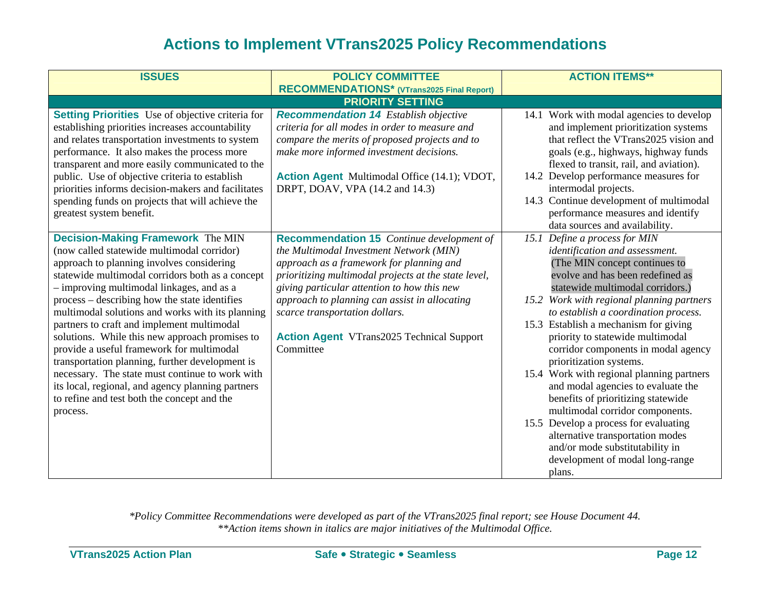| <b>ISSUES</b>                                                                                                                                                                                                                                                                                                                                                                                                                                                                                                                                                                                                                                                                                                | <b>POLICY COMMITTEE</b>                                                                                                                                                                                                                                                                                                                                                                            | <b>ACTION ITEMS**</b>                                                                                                                                                                                                                                                                                                                                                                                                                                                                                                                                                                                                                                                                                                                                                      |
|--------------------------------------------------------------------------------------------------------------------------------------------------------------------------------------------------------------------------------------------------------------------------------------------------------------------------------------------------------------------------------------------------------------------------------------------------------------------------------------------------------------------------------------------------------------------------------------------------------------------------------------------------------------------------------------------------------------|----------------------------------------------------------------------------------------------------------------------------------------------------------------------------------------------------------------------------------------------------------------------------------------------------------------------------------------------------------------------------------------------------|----------------------------------------------------------------------------------------------------------------------------------------------------------------------------------------------------------------------------------------------------------------------------------------------------------------------------------------------------------------------------------------------------------------------------------------------------------------------------------------------------------------------------------------------------------------------------------------------------------------------------------------------------------------------------------------------------------------------------------------------------------------------------|
|                                                                                                                                                                                                                                                                                                                                                                                                                                                                                                                                                                                                                                                                                                              | RECOMMENDATIONS* (VTrans2025 Final Report)                                                                                                                                                                                                                                                                                                                                                         |                                                                                                                                                                                                                                                                                                                                                                                                                                                                                                                                                                                                                                                                                                                                                                            |
|                                                                                                                                                                                                                                                                                                                                                                                                                                                                                                                                                                                                                                                                                                              | <b>PRIORITY SETTING</b>                                                                                                                                                                                                                                                                                                                                                                            |                                                                                                                                                                                                                                                                                                                                                                                                                                                                                                                                                                                                                                                                                                                                                                            |
| <b>Setting Priorities</b> Use of objective criteria for<br>establishing priorities increases accountability<br>and relates transportation investments to system<br>performance. It also makes the process more<br>transparent and more easily communicated to the<br>public. Use of objective criteria to establish<br>priorities informs decision-makers and facilitates<br>spending funds on projects that will achieve the<br>greatest system benefit.                                                                                                                                                                                                                                                    | <b>Recommendation 14</b> Establish objective<br>criteria for all modes in order to measure and<br>compare the merits of proposed projects and to<br>make more informed investment decisions.<br>Action Agent Multimodal Office (14.1); VDOT,<br>DRPT, DOAV, VPA (14.2 and 14.3)                                                                                                                    | 14.1 Work with modal agencies to develop<br>and implement prioritization systems<br>that reflect the VTrans2025 vision and<br>goals (e.g., highways, highway funds<br>flexed to transit, rail, and aviation).<br>14.2 Develop performance measures for<br>intermodal projects.<br>14.3 Continue development of multimodal<br>performance measures and identify                                                                                                                                                                                                                                                                                                                                                                                                             |
| <b>Decision-Making Framework The MIN</b><br>(now called statewide multimodal corridor)<br>approach to planning involves considering<br>statewide multimodal corridors both as a concept<br>- improving multimodal linkages, and as a<br>process – describing how the state identifies<br>multimodal solutions and works with its planning<br>partners to craft and implement multimodal<br>solutions. While this new approach promises to<br>provide a useful framework for multimodal<br>transportation planning, further development is<br>necessary. The state must continue to work with<br>its local, regional, and agency planning partners<br>to refine and test both the concept and the<br>process. | <b>Recommendation 15</b> Continue development of<br>the Multimodal Investment Network (MIN)<br>approach as a framework for planning and<br>prioritizing multimodal projects at the state level,<br>giving particular attention to how this new<br>approach to planning can assist in allocating<br>scarce transportation dollars.<br><b>Action Agent</b> VTrans2025 Technical Support<br>Committee | data sources and availability.<br>Define a process for MIN<br>15.1<br>identification and assessment.<br>(The MIN concept continues to<br>evolve and has been redefined as<br>statewide multimodal corridors.)<br>15.2 Work with regional planning partners<br>to establish a coordination process.<br>15.3 Establish a mechanism for giving<br>priority to statewide multimodal<br>corridor components in modal agency<br>prioritization systems.<br>15.4 Work with regional planning partners<br>and modal agencies to evaluate the<br>benefits of prioritizing statewide<br>multimodal corridor components.<br>15.5 Develop a process for evaluating<br>alternative transportation modes<br>and/or mode substitutability in<br>development of modal long-range<br>plans. |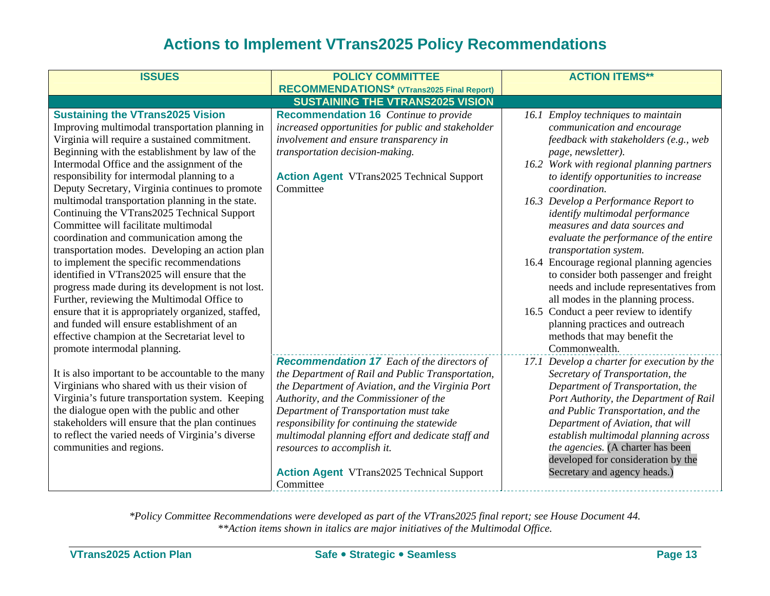| <b>ISSUES</b>                                       | <b>POLICY COMMITTEE</b>                            | <b>ACTION ITEMS**</b>                       |
|-----------------------------------------------------|----------------------------------------------------|---------------------------------------------|
|                                                     | <b>RECOMMENDATIONS*</b> (VTrans2025 Final Report)  |                                             |
|                                                     | <b>SUSTAINING THE VTRANS2025 VISION</b>            |                                             |
| <b>Sustaining the VTrans2025 Vision</b>             | <b>Recommendation 16</b> Continue to provide       | 16.1 Employ techniques to maintain          |
| Improving multimodal transportation planning in     | increased opportunities for public and stakeholder | communication and encourage                 |
| Virginia will require a sustained commitment.       | involvement and ensure transparency in             | feedback with stakeholders (e.g., web       |
| Beginning with the establishment by law of the      | transportation decision-making.                    | page, newsletter).                          |
| Intermodal Office and the assignment of the         |                                                    | 16.2 Work with regional planning partners   |
| responsibility for intermodal planning to a         | <b>Action Agent</b> VTrans2025 Technical Support   | to identify opportunities to increase       |
| Deputy Secretary, Virginia continues to promote     | Committee                                          | coordination.                               |
| multimodal transportation planning in the state.    |                                                    | 16.3 Develop a Performance Report to        |
| Continuing the VTrans2025 Technical Support         |                                                    | identify multimodal performance             |
| Committee will facilitate multimodal                |                                                    | measures and data sources and               |
| coordination and communication among the            |                                                    | evaluate the performance of the entire      |
| transportation modes. Developing an action plan     |                                                    | transportation system.                      |
| to implement the specific recommendations           |                                                    | 16.4 Encourage regional planning agencies   |
| identified in VTrans2025 will ensure that the       |                                                    | to consider both passenger and freight      |
| progress made during its development is not lost.   |                                                    | needs and include representatives from      |
| Further, reviewing the Multimodal Office to         |                                                    | all modes in the planning process.          |
| ensure that it is appropriately organized, staffed, |                                                    | 16.5 Conduct a peer review to identify      |
| and funded will ensure establishment of an          |                                                    | planning practices and outreach             |
| effective champion at the Secretariat level to      |                                                    | methods that may benefit the                |
| promote intermodal planning.                        |                                                    | Commonwealth.                               |
|                                                     | <b>Recommendation 17</b> Each of the directors of  | 17.1 Develop a charter for execution by the |
| It is also important to be accountable to the many  | the Department of Rail and Public Transportation,  | Secretary of Transportation, the            |
| Virginians who shared with us their vision of       | the Department of Aviation, and the Virginia Port  | Department of Transportation, the           |
| Virginia's future transportation system. Keeping    | Authority, and the Commissioner of the             | Port Authority, the Department of Rail      |
| the dialogue open with the public and other         | Department of Transportation must take             | and Public Transportation, and the          |
| stakeholders will ensure that the plan continues    | responsibility for continuing the statewide        | Department of Aviation, that will           |
| to reflect the varied needs of Virginia's diverse   | multimodal planning effort and dedicate staff and  | establish multimodal planning across        |
| communities and regions.                            | resources to accomplish it.                        | the agencies. (A charter has been           |
|                                                     |                                                    | developed for consideration by the          |
|                                                     | <b>Action Agent</b> VTrans2025 Technical Support   | Secretary and agency heads.)                |
|                                                     | Committee                                          |                                             |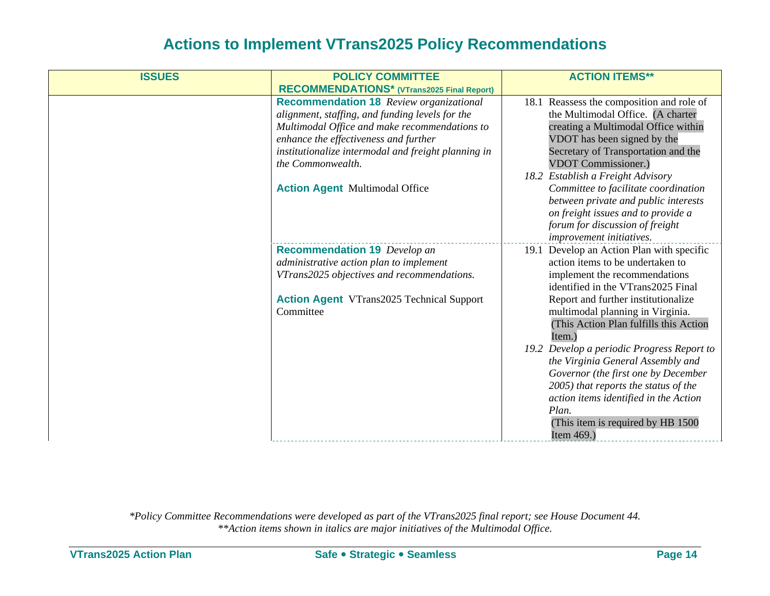| <b>ISSUES</b> | <b>POLICY COMMITTEE</b>                                                                                                                                                                                                                                                                                          | <b>ACTION ITEMS**</b>                                                                                                                                                                                                                                                                                  |
|---------------|------------------------------------------------------------------------------------------------------------------------------------------------------------------------------------------------------------------------------------------------------------------------------------------------------------------|--------------------------------------------------------------------------------------------------------------------------------------------------------------------------------------------------------------------------------------------------------------------------------------------------------|
|               | RECOMMENDATIONS* (VTrans2025 Final Report)                                                                                                                                                                                                                                                                       |                                                                                                                                                                                                                                                                                                        |
|               | <b>Recommendation 18</b> Review organizational<br>alignment, staffing, and funding levels for the<br>Multimodal Office and make recommendations to<br>enhance the effectiveness and further<br>institutionalize intermodal and freight planning in<br>the Commonwealth.<br><b>Action Agent Multimodal Office</b> | 18.1 Reassess the composition and role of<br>the Multimodal Office. (A charter<br>creating a Multimodal Office within<br>VDOT has been signed by the<br>Secretary of Transportation and the<br><b>VDOT Commissioner.)</b><br>18.2 Establish a Freight Advisory<br>Committee to facilitate coordination |
|               |                                                                                                                                                                                                                                                                                                                  | between private and public interests<br>on freight issues and to provide a<br>forum for discussion of freight<br>improvement initiatives.                                                                                                                                                              |
|               | <b>Recommendation 19</b> Develop an<br>administrative action plan to implement<br>VTrans2025 objectives and recommendations.<br><b>Action Agent</b> VTrans2025 Technical Support<br>Committee                                                                                                                    | 19.1 Develop an Action Plan with specific<br>action items to be undertaken to<br>implement the recommendations<br>identified in the VTrans2025 Final<br>Report and further institutionalize<br>multimodal planning in Virginia.<br>(This Action Plan fulfills this Action<br>Item.)                    |
|               |                                                                                                                                                                                                                                                                                                                  | 19.2 Develop a periodic Progress Report to<br>the Virginia General Assembly and<br>Governor (the first one by December<br>2005) that reports the status of the<br>action items identified in the Action<br>Plan.<br>(This item is required by HB 1500)<br>Item 469.)                                   |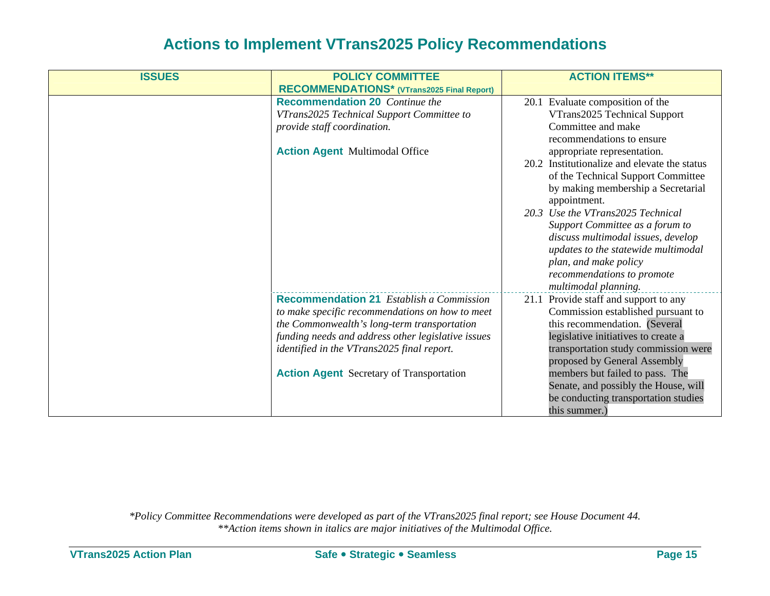| <b>ISSUES</b> | <b>POLICY COMMITTEE</b>                            | <b>ACTION ITEMS**</b>                        |
|---------------|----------------------------------------------------|----------------------------------------------|
|               | RECOMMENDATIONS* (VTrans2025 Final Report)         |                                              |
|               | <b>Recommendation 20</b> Continue the              | 20.1 Evaluate composition of the             |
|               | VTrans2025 Technical Support Committee to          | VTrans2025 Technical Support                 |
|               | provide staff coordination.                        | Committee and make                           |
|               |                                                    | recommendations to ensure                    |
|               | <b>Action Agent Multimodal Office</b>              | appropriate representation.                  |
|               |                                                    | 20.2 Institutionalize and elevate the status |
|               |                                                    | of the Technical Support Committee           |
|               |                                                    | by making membership a Secretarial           |
|               |                                                    | appointment.                                 |
|               |                                                    | 20.3 Use the VTrans2025 Technical            |
|               |                                                    | Support Committee as a forum to              |
|               |                                                    | discuss multimodal issues, develop           |
|               |                                                    | updates to the statewide multimodal          |
|               |                                                    | plan, and make policy                        |
|               |                                                    | recommendations to promote                   |
|               |                                                    | multimodal planning.                         |
|               | <b>Recommendation 21</b> Establish a Commission    | 21.1 Provide staff and support to any        |
|               | to make specific recommendations on how to meet    | Commission established pursuant to           |
|               | the Commonwealth's long-term transportation        | this recommendation. (Several                |
|               | funding needs and address other legislative issues | legislative initiatives to create a          |
|               | identified in the VTrans2025 final report.         | transportation study commission were         |
|               |                                                    | proposed by General Assembly                 |
|               | <b>Action Agent</b> Secretary of Transportation    | members but failed to pass. The              |
|               |                                                    | Senate, and possibly the House, will         |
|               |                                                    | be conducting transportation studies         |
|               |                                                    | this summer.)                                |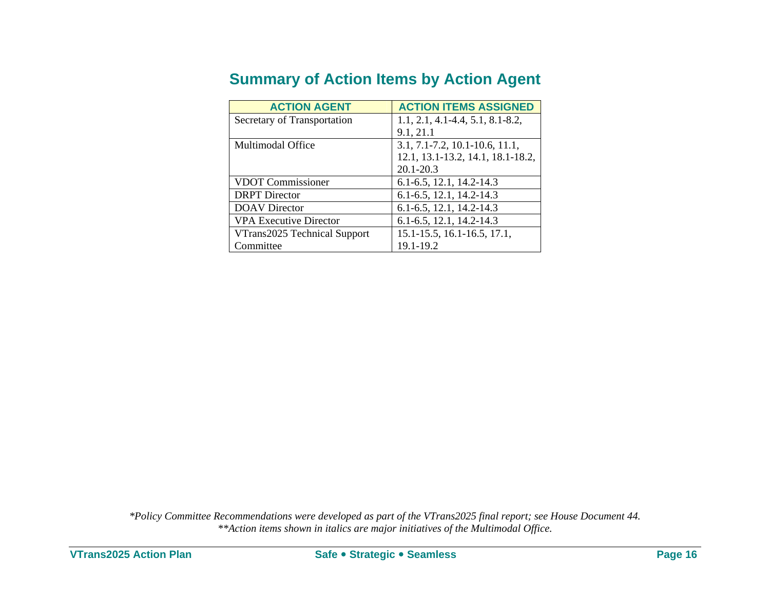| <u>Cammany of Action Romo by Action Agont</u> |                                        |  |  |
|-----------------------------------------------|----------------------------------------|--|--|
| <b>ACTION AGENT</b>                           | <b>ACTION ITEMS ASSIGNED</b>           |  |  |
| Secretary of Transportation                   | $1.1, 2.1, 4.1 - 4.4, 5.1, 8.1 - 8.2,$ |  |  |
|                                               | 9.1, 21.1                              |  |  |
| Multimodal Office                             | 3.1, 7.1-7.2, 10.1-10.6, 11.1,         |  |  |
|                                               | 12.1, 13.1-13.2, 14.1, 18.1-18.2,      |  |  |

VDOT Commissioner 6.1-6.5, 12.1, 14.2-14.3 DRPT Director 6.1-6.5, 12.1, 14.2-14.3 DOAV Director 6.1-6.5, 12.1, 14.2-14.3 VPA Executive Director 6.1-6.5, 12.1, 14.2-14.3

VTrans2025 Technical Support

Committee

20.1-20.3

19.1-19.2

15.1-15.5, 16.1-16.5, 17.1,

### **Summary of Action Items by Action Agent**